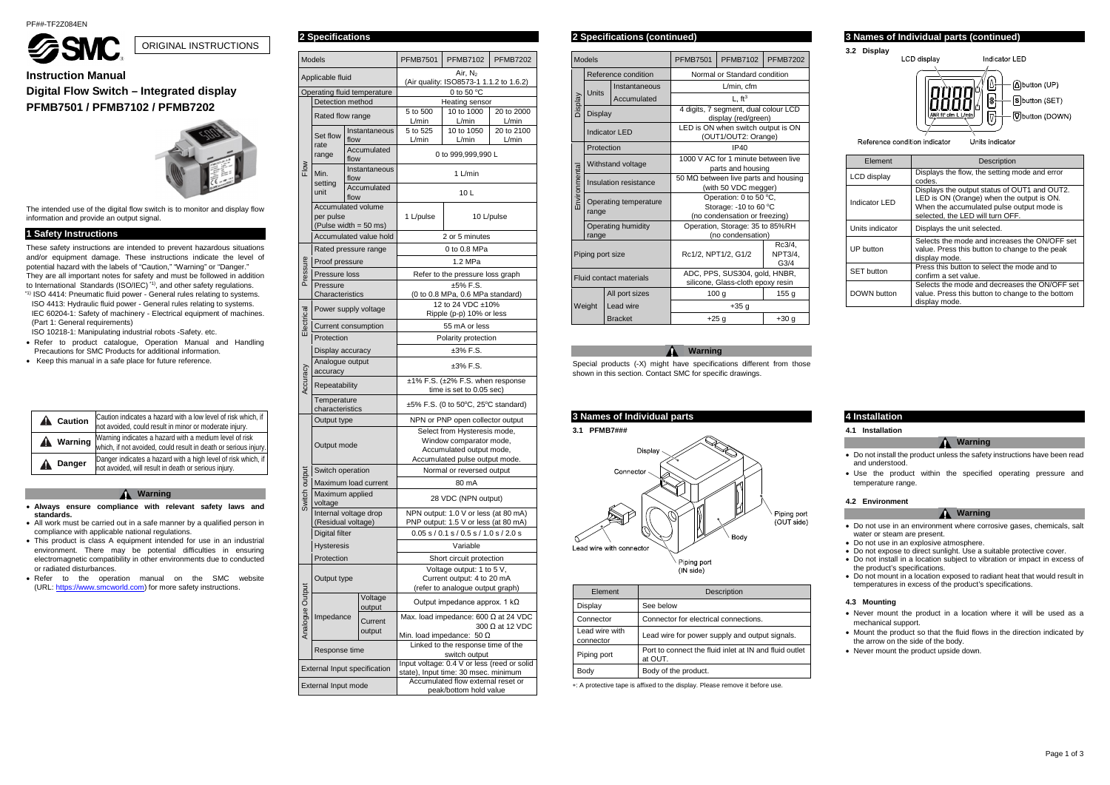

## **Instruction Manual Digital Flow Switch – Integrated display PFMB7501 / PFMB7102 / PFMB7202**



The intended use of the digital flow switch is to monitor and display flow information and provide an output signal.

### **1 Safety Instructions**

These safety instructions are intended to prevent hazardous situations and/or equipment damage. These instructions indicate the level of potential hazard with the labels of "Caution," "Warning" or "Danger." They are all important notes for safety and must be followed in addition to International Standards (ISO/IEC) \*1), and other safety regulations.

\*1) ISO 4414: Pneumatic fluid power - General rules relating to systems. ISO 4413: Hydraulic fluid power - General rules relating to systems. IEC 60204-1: Safety of machinery - Electrical equipment of machines. (Part 1: General requirements)

- **Always ensure compliance with relevant safety laws and standards.**
- All work must be carried out in a safe manner by a qualified person in compliance with applicable national regulations.
- This product is class A equipment intended for use in an industrial environment. There may be potential difficulties in ensuring electromagnetic compatibility in other environments due to conducted or radiated disturbances.
- Refer to the operation manual on the SMC website (URL: [https://www.smcworld.com\)](https://www.smcworld.com/) for more safety instructions.

ISO 10218-1: Manipulating industrial robots -Safety. etc.

- Refer to product catalogue, Operation Manual and Handling Precautions for SMC Products for additional information.
- Keep this manual in a safe place for future reference.

Special products (-X) might have specifications different from those shown in this section. Contact SMC for specific drawings.

# **3 Names of Individual parts 3.1 PFMB7### Display** Connector

Body Lead wire with connector Piping port

 $(IN side)$ 

| <b>A</b> Caution | Caution indicates a hazard with a low level of risk which, if<br>not avoided, could result in minor or moderate injury.   |
|------------------|---------------------------------------------------------------------------------------------------------------------------|
| A Warning        | Warning indicates a hazard with a medium level of risk<br>which, if not avoided, could result in death or serious injury. |
| <b>Danger</b>    | Danger indicates a hazard with a high level of risk which, if<br>not avoided, will result in death or serious injury.     |

#### **Warning**

### **2 Specifications 2 Specifications (continued)**

### **Warning**

| Element                     | <b>Description</b>                                                |
|-----------------------------|-------------------------------------------------------------------|
| Display                     | See below                                                         |
| Connector                   | Connector for electrical connections.                             |
| Lead wire with<br>connector | Lead wire for power supply and output signals.                    |
| Piping port                 | Port to connect the fluid inlet at IN and fluid outlet<br>at OUT. |
| Bodv                        | Body of the product.                                              |

∗: A protective tape is affixed to the display. Please remove it before use.

### **3 Names of Individual parts (continued)**

**3.2 Display**

LCD display



Indicator LED



Reference condition indicator

Units indicator

| Element           | Description                                                                                                                                                                |
|-------------------|----------------------------------------------------------------------------------------------------------------------------------------------------------------------------|
| LCD display       | Displays the flow, the setting mode and error<br>codes.                                                                                                                    |
| Indicator LED     | Displays the output status of OUT1 and OUT2.<br>LED is ON (Orange) when the output is ON.<br>When the accumulated pulse output mode is<br>selected, the LED will turn OFF. |
| Units indicator   | Displays the unit selected.                                                                                                                                                |
| UP button         | Selects the mode and increases the ON/OFF set<br>value. Press this button to change to the peak<br>display mode.                                                           |
| <b>SET button</b> | Press this button to select the mode and to<br>confirm a set value.                                                                                                        |
| DOWN button       | Selects the mode and decreases the ON/OFF set<br>value. Press this button to change to the bottom<br>display mode.                                                         |

### **4 Installation**

### **4.1 Installation**

#### **Warning**

- Do not install the product unless the safety instructions have been read and understood.
- Use the product within the specified operating pressure and temperature range.

### **4.2 Environment**

Piping port  $(OUT side)$ 

### **Warning**

- Do not use in an environment where corrosive gases, chemicals, salt water or steam are present.
- Do not use in an explosive atmosphere.
- Do not expose to direct sunlight. Use a suitable protective cover.
- Do not install in a location subject to vibration or impact in excess of the product's specifications.
- Do not mount in a location exposed to radiant heat that would result in temperatures in excess of the product's specifications.

#### **4.3 Mounting**

- Never mount the product in a location where it will be used as a mechanical support.
- Mount the product so that the fluid flows in the direction indicated by the arrow on the side of the body.
- Never mount the product upside down.

ORIGINAL INSTRUCTIONS

| <b>Models</b>               |                                             | <b>PFMB7501</b>                                       | <b>PFMB7102</b>                    | <b>PFMB7202</b>                                                                                                       |                                                 |                     |
|-----------------------------|---------------------------------------------|-------------------------------------------------------|------------------------------------|-----------------------------------------------------------------------------------------------------------------------|-------------------------------------------------|---------------------|
| Applicable fluid            |                                             | Air, $N_2$<br>(Air quality: ISO8573-1 1.1.2 to 1.6.2) |                                    |                                                                                                                       |                                                 |                     |
| Operating fluid temperature |                                             | 0 to 50 °C                                            |                                    |                                                                                                                       |                                                 |                     |
|                             | Detection method                            |                                                       | Heating sensor                     |                                                                                                                       |                                                 |                     |
|                             | Rated flow range                            |                                                       |                                    | 5 to 500<br>L/min                                                                                                     | 10 to 1000<br>L/min                             | 20 to 2000<br>L/min |
|                             | Set flow<br>rate                            | flow                                                  | Instantaneous                      | 5 to 525<br>L/min                                                                                                     | 10 to 1050<br>L/min                             | 20 to 2100<br>L/min |
|                             | range                                       | flow                                                  | Accumulated                        |                                                                                                                       | 0 to 999,999,990 L                              |                     |
| $\frac{8}{10}$              | Min.<br>setting                             | flow                                                  | Instantaneous                      | $1$ L/min                                                                                                             |                                                 |                     |
|                             | unit                                        | flow                                                  | Accumulated                        | 10 L                                                                                                                  |                                                 |                     |
|                             | per pulse                                   | Accumulated volume<br>(Pulse width $= 50$ ms)         |                                    | 1 L/pulse                                                                                                             | 10 L/pulse                                      |                     |
|                             |                                             |                                                       | Accumulated value hold             |                                                                                                                       | 2 or 5 minutes                                  |                     |
|                             | Rated pressure range                        |                                                       |                                    |                                                                                                                       | 0 to 0.8 MPa                                    |                     |
|                             | Proof pressure                              |                                                       |                                    |                                                                                                                       | 1.2 MPa                                         |                     |
| Pressure                    | Pressure loss                               |                                                       |                                    |                                                                                                                       | Refer to the pressure loss graph                |                     |
|                             | Pressure<br>Characteristics                 |                                                       |                                    |                                                                                                                       | $±5\%$ F.S.<br>(0 to 0.8 MPa, 0.6 MPa standard) |                     |
| Electrical                  | Power supply voltage                        |                                                       |                                    | 12 to 24 VDC ±10%<br>Ripple (p-p) 10% or less                                                                         |                                                 |                     |
|                             | Current consumption                         |                                                       |                                    | 55 mA or less                                                                                                         |                                                 |                     |
|                             | Protection                                  |                                                       |                                    | Polarity protection                                                                                                   |                                                 |                     |
|                             |                                             | Display accuracy                                      |                                    | $±3\%$ F.S.                                                                                                           |                                                 |                     |
|                             | Analogue output<br>accuracy                 |                                                       |                                    | ±3% F.S.                                                                                                              |                                                 |                     |
| Accuracy                    | Repeatability                               |                                                       |                                    | ±1% F.S. (±2% F.S. when response<br>time is set to 0.05 sec)                                                          |                                                 |                     |
|                             | Temperature<br>characteristics              |                                                       |                                    | $\pm 5\%$ F.S. (0 to 50 $\degree$ C, 25 $\degree$ C standard)                                                         |                                                 |                     |
|                             | Output type                                 |                                                       |                                    |                                                                                                                       | NPN or PNP open collector output                |                     |
|                             | Output mode                                 |                                                       |                                    | Select from Hysteresis mode,<br>Window comparator mode,<br>Accumulated output mode,<br>Accumulated pulse output mode. |                                                 |                     |
|                             | Switch operation                            |                                                       |                                    |                                                                                                                       | Normal or reversed output                       |                     |
|                             | Maximum load current                        |                                                       |                                    | 80 mA                                                                                                                 |                                                 |                     |
| Switch output               | Maximum applied<br>voltage                  |                                                       |                                    | 28 VDC (NPN output)                                                                                                   |                                                 |                     |
|                             | Internal voltage drop<br>(Residual voltage) |                                                       |                                    | NPN output: 1.0 V or less (at 80 mA)<br>PNP output: 1.5 V or less (at 80 mA)                                          |                                                 |                     |
|                             | <b>Digital filter</b>                       |                                                       |                                    | $0.05$ s / 0.1 s / 0.5 s / 1.0 s / 2.0 s                                                                              |                                                 |                     |
|                             | <b>Hysteresis</b>                           |                                                       |                                    | Variable                                                                                                              |                                                 |                     |
|                             | Protection                                  |                                                       |                                    | Short circuit protection                                                                                              |                                                 |                     |
|                             |                                             |                                                       |                                    | Voltage output: 1 to 5 V,                                                                                             |                                                 |                     |
| Analogue Output             | Output type                                 |                                                       |                                    | Current output: 4 to 20 mA                                                                                            |                                                 |                     |
|                             |                                             |                                                       | Voltage                            | (refer to analogue output graph)<br>Output impedance approx. 1 $k\Omega$                                              |                                                 |                     |
|                             | Impedance                                   |                                                       | output<br>Current                  |                                                                                                                       | Max. load impedance: 600 $\Omega$ at 24 VDC     | 300 Ω at 12 VDC     |
|                             |                                             |                                                       | output                             | Min. load impedance: 50 $\Omega$                                                                                      |                                                 |                     |
|                             | Response time                               |                                                       | Linked to the response time of the |                                                                                                                       |                                                 |                     |
|                             |                                             |                                                       |                                    | switch output<br>Input voltage: 0.4 V or less (reed or solid<br>state), Input time: 30 msec. minimum                  |                                                 |                     |
|                             |                                             |                                                       | External Input specification       |                                                                                                                       |                                                 |                     |

| <b>Models</b>           |                                                                          |                                                                    | <b>PFMB7501</b>                                                                  | <b>PFMB7102</b>           | <b>PFMB7202</b> |
|-------------------------|--------------------------------------------------------------------------|--------------------------------------------------------------------|----------------------------------------------------------------------------------|---------------------------|-----------------|
|                         |                                                                          | Reference condition                                                | Normal or Standard condition                                                     |                           |                 |
|                         | Units                                                                    | Instantaneous                                                      | L/min, cfm                                                                       |                           |                 |
|                         |                                                                          | Accumulated                                                        | L, ft <sup>3</sup>                                                               |                           |                 |
| <b>Display</b>          | <b>Display</b>                                                           |                                                                    | 4 digits, 7 segment, dual colour LCD<br>display (red/green)                      |                           |                 |
|                         |                                                                          | <b>Indicator LED</b>                                               | LED is ON when switch output is ON<br>(OUT1/OUT2: Orange)                        |                           |                 |
|                         | Protection                                                               |                                                                    | IP40                                                                             |                           |                 |
|                         |                                                                          | Withstand voltage                                                  | 1000 V AC for 1 minute between live<br>parts and housing                         |                           |                 |
|                         | Environmental<br>Insulation resistance<br>Operating temperature<br>range |                                                                    | 50 $M\Omega$ between live parts and housing<br>(with 50 VDC megger)              |                           |                 |
|                         |                                                                          |                                                                    | Operation: 0 to 50 °C.<br>Storage: -10 to 60 °C<br>(no condensation or freezing) |                           |                 |
|                         |                                                                          | Operating humidity                                                 | Operation, Storage: 35 to 85%RH                                                  |                           |                 |
|                         | range                                                                    |                                                                    | (no condensation)                                                                |                           |                 |
| Piping port size        |                                                                          |                                                                    | Rc1/2, NPT1/2, G1/2                                                              | Rc3/4,<br>NPT3/4,<br>G3/4 |                 |
| Fluid contact materials |                                                                          | ADC, PPS, SUS304, gold, HNBR,<br>silicone, Glass-cloth epoxy resin |                                                                                  |                           |                 |
|                         | All port sizes<br>Lead wire<br>Weight<br><b>Bracket</b>                  |                                                                    | 100 <sub>q</sub>                                                                 |                           | 155 g           |
|                         |                                                                          |                                                                    | $+35g$                                                                           |                           |                 |
|                         |                                                                          |                                                                    | $+25g$                                                                           |                           | $+30g$          |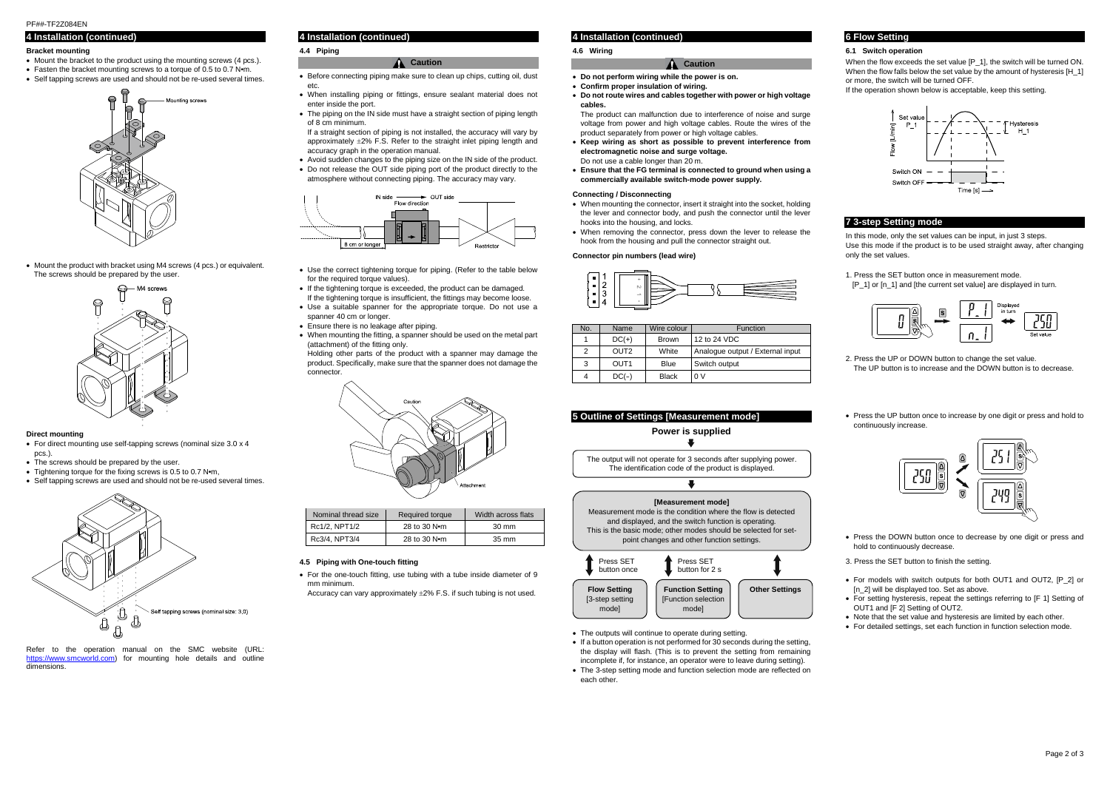#### PF##-TF2Z084EN

- Mount the bracket to the product using the mounting screws (4 pcs.).
- Fasten the bracket mounting screws to a torque of 0.5 to 0.7 N•m.
- Self tapping screws are used and should not be re-used several times.



### **4 Installation (continued)**

#### **Bracket mounting**

• Mount the product with bracket using M4 screws (4 pcs.) or equivalent. The screws should be prepared by the user.



#### **Direct mounting**

- For direct mounting use self-tapping screws (nominal size 3.0 x 4 pcs.).
- The screws should be prepared by the user.
- Tightening torque for the fixing screws is 0.5 to 0.7 N•m,
- Self tapping screws are used and should not be re-used several times.



Refer to the operation manual on the SMC website (URL: [https://www.smcworld.com\)](https://www.smcworld.com/) for mounting hole details and outline dimensions.

#### **4 Installation (continued)**

#### **4.4 Piping**

#### **Caution**

- Before connecting piping make sure to clean up chips, cutting oil, dust etc.
- When installing piping or fittings, ensure sealant material does not enter inside the port.
- The piping on the IN side must have a straight section of piping length of 8 cm minimum.

If a straight section of piping is not installed, the accuracy will vary by approximately  $\pm 2\%$  F.S. Refer to the straight inlet piping length and accuracy graph in the operation manual.

- Avoid sudden changes to the piping size on the IN side of the product.
- Do not release the OUT side piping port of the product directly to the atmosphere without connecting piping. The accuracy may vary.



- Use the correct tightening torque for piping. (Refer to the table below for the required torque values).
- If the tightening torque is exceeded, the product can be damaged. If the tightening torque is insufficient, the fittings may become loose.
- Use a suitable spanner for the appropriate torque. Do not use a spanner 40 cm or longer.
- Ensure there is no leakage after piping.
- When mounting the fitting, a spanner should be used on the metal part (attachment) of the fitting only.

Holding other parts of the product with a spanner may damage the product. Specifically, make sure that the spanner does not damage the connector.



| Nominal thread size | Required torque | Width across flats |
|---------------------|-----------------|--------------------|
| Rc1/2, NPT1/2       | 28 to 30 Nom    | $30 \text{ mm}$    |
| Rc3/4, NPT3/4       | 28 to 30 Nom    | $35 \text{ mm}$    |

In this mode, only the set values can be input, in just 3 steps. Use this mode if the product is to be used straight away, after changing only the set values.

#### **4.5 Piping with One-touch fitting**

• For the one-touch fitting, use tubing with a tube inside diameter of 9 mm minimum.

Accuracy can vary approximately ±2% F.S. if such tubing is not used.

### **4 Installation (continued)**

### **4.6 Wiring**

#### **Caution**

- **Do not perform wiring while the power is on.**
- **Confirm proper insulation of wiring.**
- **Do not route wires and cables together with power or high voltage cables.**

- Press the DOWN button once to decrease by one digit or press and hold to continuously decrease.
- 3. Press the SET button to finish the setting.
- For models with switch outputs for both OUT1 and OUT2, [P\_2] or [n\_2] will be displayed too. Set as above.
- For setting hysteresis, repeat the settings referring to [F 1] Setting of OUT1 and [F 2] Setting of OUT2.
- Note that the set value and hysteresis are limited by each other.
- For detailed settings, set each function in function selection mode.

The product can malfunction due to interference of noise and surge voltage from power and high voltage cables. Route the wires of the product separately from power or high voltage cables.

- **Keep wiring as short as possible to prevent interference from electromagnetic noise and surge voltage.**  Do not use a cable longer than 20 m.
- **Ensure that the FG terminal is connected to ground when using a commercially available switch-mode power supply.**

#### **Connecting / Disconnecting**

- When mounting the connector, insert it straight into the socket, holding the lever and connector body, and push the connector until the lever hooks into the housing, and locks.
- When removing the connector, press down the lever to release the hook from the housing and pull the connector straight out.

#### **Connector pin numbers (lead wire)**



| No. | Name             | Wire colour  | Function                         |
|-----|------------------|--------------|----------------------------------|
|     | $DC(+)$          | <b>Brown</b> | 12 to 24 VDC                     |
| 2   | OUT <sub>2</sub> | White        | Analogue output / External input |
| 3   | OUT <sub>1</sub> | Blue         | Switch output                    |
| 4   | $DC(-)$          | <b>Black</b> | 0 V                              |

### **5 Outline of Settings [Measurement mode]**

#### **Power is supplied**

 $\ddot{\phantom{a}}$ 

- The outputs will continue to operate during setting.
- If a button operation is not performed for 30 seconds during the setting, the display will flash. (This is to prevent the setting from remaining incomplete if, for instance, an operator were to leave during setting).
- The 3-step setting mode and function selection mode are reflected on each other.

### **6 Flow Setting**

#### **6.1 Switch operation**

When the flow exceeds the set value [P\_1], the switch will be turned ON. When the flow falls below the set value by the amount of hysteresis [H\_1] or more, the switch will be turned OFF.

If the operation shown below is acceptable, keep this setting.



### **7 3-step Setting mode**

- 1. Press the SET button once in measurement mode.
- [P\_1] or [n\_1] and [the current set value] are displayed in turn.



- 2. Press the UP or DOWN button to change the set value. The UP button is to increase and the DOWN button is to decrease.
- Press the UP button once to increase by one digit or press and hold to continuously increase.



The output will not operate for 3 seconds after supplying power. The identification code of the product is displayed.

### $\bullet$